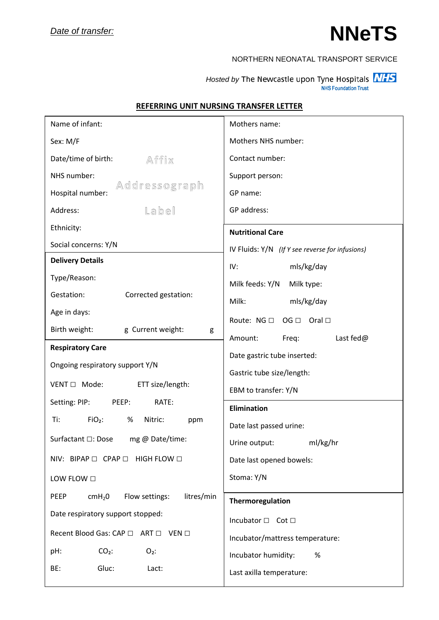## **NNeTS**

## NORTHERN NEONATAL TRANSPORT SERVICE

*Hosted by* The Newcastle upon Tyne Hospitals **NHS NHS Foundation Trust** 

| Name of infant:                                            | Mothers name:                                            |  |  |
|------------------------------------------------------------|----------------------------------------------------------|--|--|
| Sex: M/F                                                   | Mothers NHS number:                                      |  |  |
| Date/time of birth:<br>Affix                               | Contact number:                                          |  |  |
| NHS number:                                                | Support person:                                          |  |  |
| Addressograph<br>Hospital number:                          | GP name:                                                 |  |  |
| Label<br>Address:                                          | GP address:                                              |  |  |
| Ethnicity:                                                 | <b>Nutritional Care</b>                                  |  |  |
| Social concerns: Y/N                                       | IV Fluids: $Y/N$ (If Y see reverse for infusions)        |  |  |
| <b>Delivery Details</b>                                    | mls/kg/day<br>IV:                                        |  |  |
| Type/Reason:                                               | Milk feeds: Y/N<br>Milk type:                            |  |  |
| Corrected gestation:<br>Gestation:                         | Milk:<br>mls/kg/day                                      |  |  |
| Age in days:                                               | $OG \Box$ Oral $\Box$<br>Route: NG □                     |  |  |
| Birth weight:<br>g Current weight:<br>g                    | Last fed@<br>Amount:<br>Freq:                            |  |  |
| <b>Respiratory Care</b>                                    |                                                          |  |  |
| Ongoing respiratory support Y/N                            | Date gastric tube inserted:<br>Gastric tube size/length: |  |  |
| $VENT \Box$ Mode:<br>ETT size/length:                      |                                                          |  |  |
| Setting: PIP:<br>RATE:<br>PEEP:                            | EBM to transfer: Y/N                                     |  |  |
| $FiO2$ :<br>Nitric:<br>Ti:<br>%<br>ppm                     | <b>Elimination</b>                                       |  |  |
| Surfactant □: Dose mg @ Date/time:                         | Date last passed urine:                                  |  |  |
|                                                            | ml/kg/hr<br>Urine output:                                |  |  |
| NIV: BIPAP □ CPAP □ HIGH FLOW □                            | Date last opened bowels:                                 |  |  |
| LOW FLOW $\Box$                                            | Stoma: Y/N                                               |  |  |
| Flow settings:<br>litres/min<br>PEEP<br>cmH <sub>2</sub> 0 | Thermoregulation                                         |  |  |
| Date respiratory support stopped:                          | Incubator □ Cot □                                        |  |  |
| Recent Blood Gas: CAP □ ART □ VEN □                        | Incubator/mattress temperature:                          |  |  |
| $CO2$ :<br>$O2$ :<br>pH:                                   | Incubator humidity:<br>%                                 |  |  |
| Gluc:<br>BE:<br>Lact:                                      | Last axilla temperature:                                 |  |  |
|                                                            |                                                          |  |  |

## **REFERRING UNIT NURSING TRANSFER LETTER**